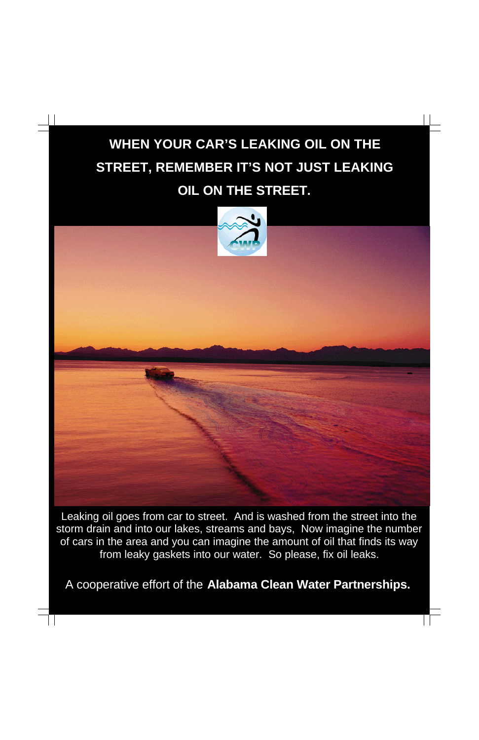## **WHEN YOUR CAR'S LEAKING OIL ON THE STREET, REMEMBER IT'S NOT JUST LEAKING OIL ON THE STREET.**



A cooperative effort of the **Alabama Clean Water Partnerships.**

 $\mathsf{L}$ 

Leaking oil goes from car to street. And is washed from the street into the storm drain and into our lakes, streams and bays, Now imagine the number of cars in the area and you can imagine the amount of oil that finds its way from leaky gaskets into our water. So please, fix oil leaks.